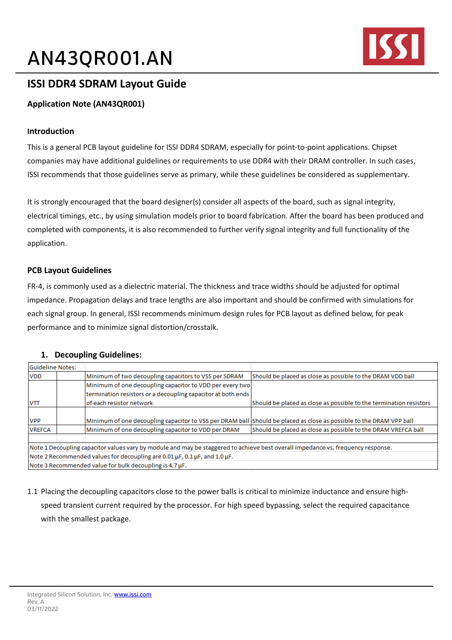# AN43QR001.AN



# **ISSI DDR4 SDRAM Layout Guide**

## **Application Note (AN43QR001)**

### **Introduction**

This is a general PCB layout guideline for ISSI DDR4 SDRAM, especially for point-to-point applications. Chipset companies may have additional guidelines or requirements to use DDR4 with their DRAM controller. In such cases, ISSI recommends that those guidelines serve as primary, while these guidelines be considered as supplementary.

It is strongly encouraged that the board designer(s) consider all aspects of the board, such as signal integrity, electrical timings, etc., by using simulation models prior to board fabrication. After the board has been produced and completed with components, it is also recommended to further verify signal integrity and full functionality of the application.

### **PCB Layout Guidelines**

FR-4, is commonly used as a dielectric material. The thickness and trace widths should be adjusted for optimal impedance. Propagation delays and trace lengths are also important and should be confirmed with simulations for each signal group. In general, ISSI recommends minimum design rules for PCB layout as defined below, for peak performance and to minimize signal distortion/crosstalk.

### **1. Decoupling Guidelines:**

| Guideline Notes:                                                                                                                 |  |                                                                                                                     |                                                                    |  |  |  |  |
|----------------------------------------------------------------------------------------------------------------------------------|--|---------------------------------------------------------------------------------------------------------------------|--------------------------------------------------------------------|--|--|--|--|
| <b>VDD</b>                                                                                                                       |  | Minimum of two decoupling capacitors to VSS per SDRAM                                                               | Should be placed as close as possible to the DRAM VDD ball         |  |  |  |  |
|                                                                                                                                  |  | Minimum of one decoupling capacitor to VDD per every two                                                            |                                                                    |  |  |  |  |
|                                                                                                                                  |  | termination resistors or a decoupling capacitor at both ends                                                        |                                                                    |  |  |  |  |
| VTT                                                                                                                              |  | lof each resistor network                                                                                           | Should be placed as close as possible to the termination resistors |  |  |  |  |
|                                                                                                                                  |  |                                                                                                                     |                                                                    |  |  |  |  |
| <b>VPP</b>                                                                                                                       |  | Minimum of one decoupling capacitor to VSS per DRAM ball Should be placed as close as possible to the DRAM VPP ball |                                                                    |  |  |  |  |
| <b>VREFCA</b>                                                                                                                    |  | Minimum of one decoupling capacitor to VDD per DRAM                                                                 | Should be placed as close as possible to the DRAM VREFCA ball      |  |  |  |  |
|                                                                                                                                  |  |                                                                                                                     |                                                                    |  |  |  |  |
| Note 1 Decoupling capacitor values vary by module and may be staggered to achieve best overall impedance vs. frequency response. |  |                                                                                                                     |                                                                    |  |  |  |  |
| Note 2 Recommended values for decoupling are 0.01 µF, 0.1 µF, and 1.0 µF.                                                        |  |                                                                                                                     |                                                                    |  |  |  |  |
| Note 3 Recommended value for bulk decoupling is 4.7 µF.                                                                          |  |                                                                                                                     |                                                                    |  |  |  |  |

1.1 Placing the decoupling capacitors close to the power balls is critical to minimize inductance and ensure highspeed transient current required by the processor. For high speed bypassing, select the required capacitance with the smallest package.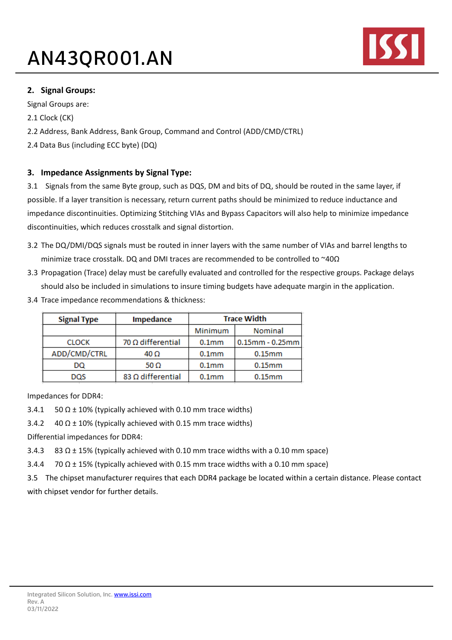# AN43QR001.AN



### **2. Signal Groups:**

Signal Groups are:

2.1 Clock (CK)

2.2 Address, Bank Address, Bank Group, Command and Control (ADD/CMD/CTRL)

2.4 Data Bus (including ECC byte) (DQ)

### **3. Impedance Assignments by Signal Type:**

3.1 Signals from the same Byte group, such as DQS, DM and bits of DQ, should be routed in the same layer, if possible. If a layer transition is necessary, return current paths should be minimized to reduce inductance and impedance discontinuities. Optimizing Stitching VIAs and Bypass Capacitors will also help to minimize impedance discontinuities, which reduces crosstalk and signal distortion.

- 3.2 The DQ/DMI/DQS signals must be routed in inner layers with the same number of VIAs and barrel lengths to minimize trace crosstalk. DQ and DMI traces are recommended to be controlled to ~40Ω
- 3.3 Propagation (Trace) delay must be carefully evaluated and controlled for the respective groups. Package delays should also be included in simulations to insure timing budgets have adequate margin in the application.
- 3.4 Trace impedance recommendations & thickness:

| <b>Signal Type</b> | Impedance                | <b>Trace Width</b> |                       |
|--------------------|--------------------------|--------------------|-----------------------|
|                    |                          | Minimum            | Nominal               |
| <b>CLOCK</b>       | 70 $\Omega$ differential | 0.1 <sub>mm</sub>  | $0.15$ mm - $0.25$ mm |
| ADD/CMD/CTRL       | 40 Ω                     | 0.1 <sub>mm</sub>  | $0.15$ mm             |
| DQ                 | 50 $\Omega$              | 0.1 <sub>mm</sub>  | $0.15$ mm             |
| DQS                | 83 Ω differential        | 0.1 <sub>mm</sub>  | $0.15$ mm             |

Impedances for DDR4:

3.4.1 50  $\Omega$  ± 10% (typically achieved with 0.10 mm trace widths)

3.4.2  $40 \Omega \pm 10\%$  (typically achieved with 0.15 mm trace widths)

Differential impedances for DDR4:

3.4.3 83  $\Omega$  ± 15% (typically achieved with 0.10 mm trace widths with a 0.10 mm space)

3.4.4 70  $\Omega$  ± 15% (typically achieved with 0.15 mm trace widths with a 0.10 mm space)

3.5 The chipset manufacturer requires that each DDR4 package be located within a certain distance. Please contact with chipset vendor for further details.